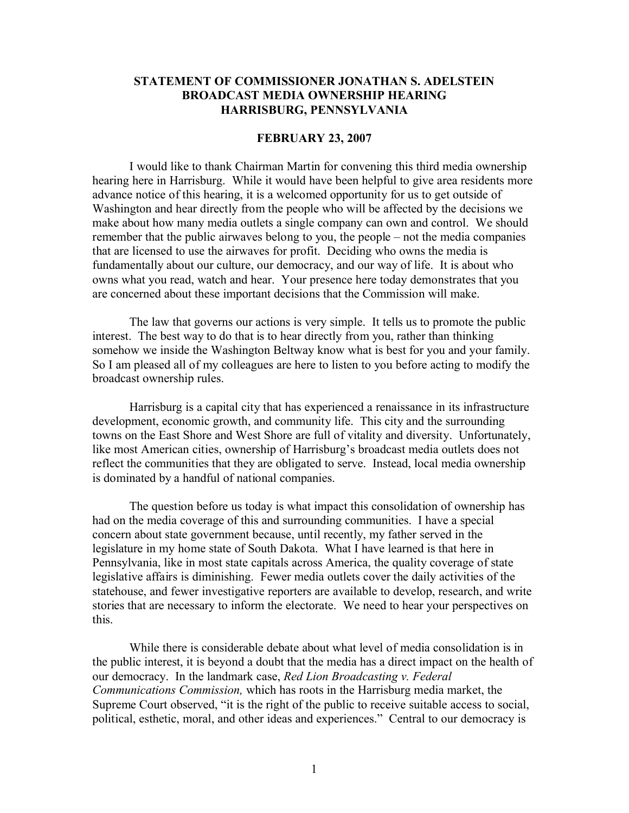## **STATEMENT OF COMMISSIONER JONATHAN S. ADELSTEIN BROADCAST MEDIA OWNERSHIP HEARING HARRISBURG, PENNSYLVANIA**

## **FEBRUARY 23, 2007**

I would like to thank Chairman Martin for convening this third media ownership hearing here in Harrisburg. While it would have been helpful to give area residents more advance notice of this hearing, it is a welcomed opportunity for us to get outside of Washington and hear directly from the people who will be affected by the decisions we make about how many media outlets a single company can own and control. We should remember that the public airwaves belong to you, the people – not the media companies that are licensed to use the airwaves for profit. Deciding who owns the media is fundamentally about our culture, our democracy, and our way of life. It is about who owns what you read, watch and hear. Your presence here today demonstrates that you are concerned about these important decisions that the Commission will make.

The law that governs our actions is very simple. It tells us to promote the public interest. The best way to do that is to hear directly from you, rather than thinking somehow we inside the Washington Beltway know what is best for you and your family. So I am pleased all of my colleagues are here to listen to you before acting to modify the broadcast ownership rules.

Harrisburg is a capital city that has experienced a renaissance in its infrastructure development, economic growth, and community life. This city and the surrounding towns on the East Shore and West Shore are full of vitality and diversity. Unfortunately, like most American cities, ownership of Harrisburg's broadcast media outlets does not reflect the communities that they are obligated to serve. Instead, local media ownership is dominated by a handful of national companies.

The question before us today is what impact this consolidation of ownership has had on the media coverage of this and surrounding communities. I have a special concern about state government because, until recently, my father served in the legislature in my home state of South Dakota. What I have learned is that here in Pennsylvania, like in most state capitals across America, the quality coverage of state legislative affairs is diminishing. Fewer media outlets cover the daily activities of the statehouse, and fewer investigative reporters are available to develop, research, and write stories that are necessary to inform the electorate. We need to hear your perspectives on this.

While there is considerable debate about what level of media consolidation is in the public interest, it is beyond a doubt that the media has a direct impact on the health of our democracy. In the landmark case, *Red Lion Broadcasting v. Federal Communications Commission,* which has roots in the Harrisburg media market, the Supreme Court observed, "it is the right of the public to receive suitable access to social, political, esthetic, moral, and other ideas and experiences." Central to our democracy is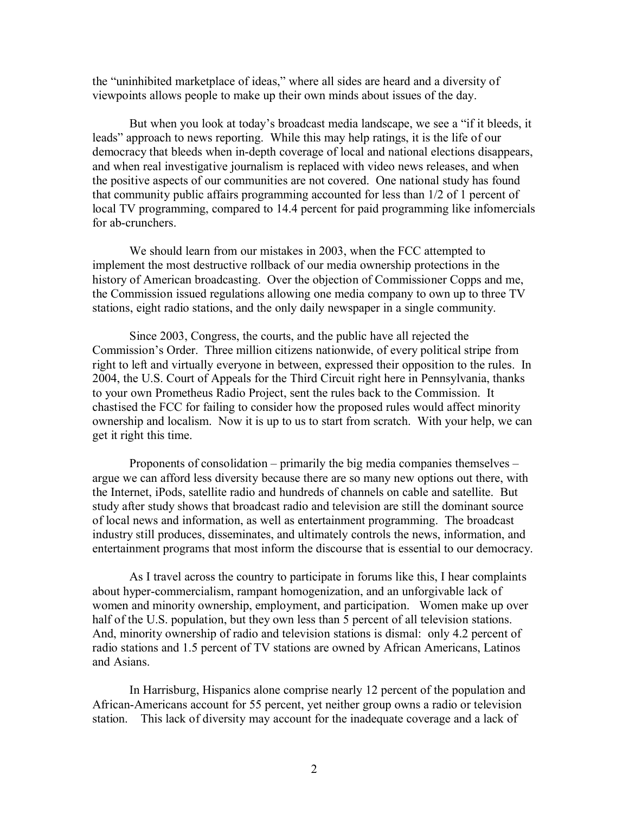the "uninhibited marketplace of ideas," where all sides are heard and a diversity of viewpoints allows people to make up their own minds about issues of the day.

But when you look at today's broadcast media landscape, we see a "if it bleeds, it leads" approach to news reporting. While this may help ratings, it is the life of our democracy that bleeds when in-depth coverage of local and national elections disappears, and when real investigative journalism is replaced with video news releases, and when the positive aspects of our communities are not covered. One national study has found that community public affairs programming accounted for less than 1/2 of 1 percent of local TV programming, compared to 14.4 percent for paid programming like infomercials for ab-crunchers.

We should learn from our mistakes in 2003, when the FCC attempted to implement the most destructive rollback of our media ownership protections in the history of American broadcasting. Over the objection of Commissioner Copps and me, the Commission issued regulations allowing one media company to own up to three TV stations, eight radio stations, and the only daily newspaper in a single community.

Since 2003, Congress, the courts, and the public have all rejected the Commission's Order. Three million citizens nationwide, of every political stripe from right to left and virtually everyone in between, expressed their opposition to the rules. In 2004, the U.S. Court of Appeals for the Third Circuit right here in Pennsylvania, thanks to your own Prometheus Radio Project, sent the rules back to the Commission. It chastised the FCC for failing to consider how the proposed rules would affect minority ownership and localism. Now it is up to us to start from scratch. With your help, we can get it right this time.

Proponents of consolidation – primarily the big media companies themselves – argue we can afford less diversity because there are so many new options out there, with the Internet, iPods, satellite radio and hundreds of channels on cable and satellite. But study after study shows that broadcast radio and television are still the dominant source of local news and information, as well as entertainment programming. The broadcast industry still produces, disseminates, and ultimately controls the news, information, and entertainment programs that most inform the discourse that is essential to our democracy.

As I travel across the country to participate in forums like this, I hear complaints about hyper-commercialism, rampant homogenization, and an unforgivable lack of women and minority ownership, employment, and participation. Women make up over half of the U.S. population, but they own less than 5 percent of all television stations. And, minority ownership of radio and television stations is dismal: only 4.2 percent of radio stations and 1.5 percent of TV stations are owned by African Americans, Latinos and Asians.

In Harrisburg, Hispanics alone comprise nearly 12 percent of the population and African-Americans account for 55 percent, yet neither group owns a radio or television station. This lack of diversity may account for the inadequate coverage and a lack of